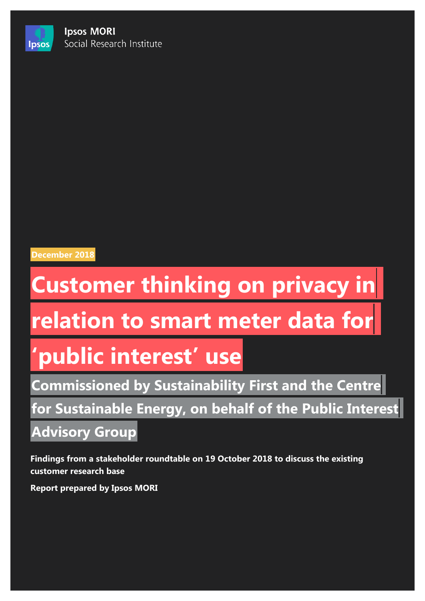**Ipsos MORI** Social Research Institute



**Ipsos** 

## **December 2018**

# **Customer thinking on privacy in**

## **relation to smart meter data for**

## **'public interest' use**

**Commissioned by Sustainability First and the Centre**

**for Sustainable Energy, on behalf of the Public Interest**

## **Advisory Group**

**Findings from a stakeholder roundtable on 19 October 2018 to discuss the existing customer research base**

**Report prepared by Ipsos MORI**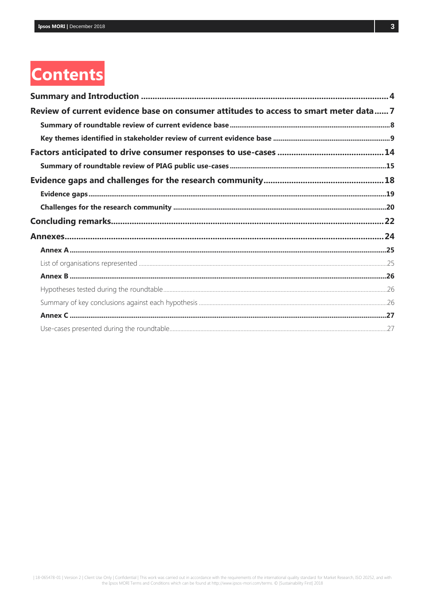## **Contents**

| Review of current evidence base on consumer attitudes to access to smart meter data 7 |  |
|---------------------------------------------------------------------------------------|--|
|                                                                                       |  |
|                                                                                       |  |
|                                                                                       |  |
|                                                                                       |  |
|                                                                                       |  |
|                                                                                       |  |
|                                                                                       |  |
|                                                                                       |  |
|                                                                                       |  |
|                                                                                       |  |
|                                                                                       |  |
|                                                                                       |  |
|                                                                                       |  |
|                                                                                       |  |
|                                                                                       |  |
|                                                                                       |  |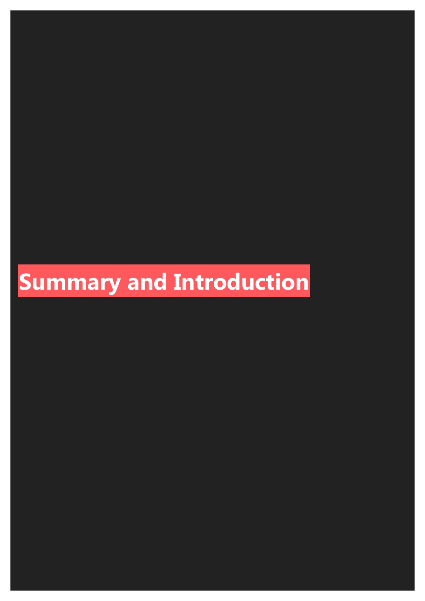# **Summary and Introduction**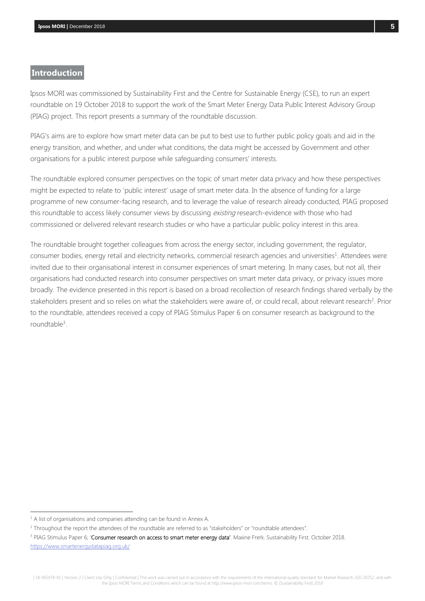### **Introduction**

Ipsos MORI was commissioned by Sustainability First and the Centre for Sustainable Energy (CSE), to run an expert roundtable on 19 October 2018 to support the work of the Smart Meter Energy Data Public Interest Advisory Group (PIAG) project. This report presents a summary of the roundtable discussion.

PIAG's aims are to explore how smart meter data can be put to best use to further public policy goals and aid in the energy transition, and whether, and under what conditions, the data might be accessed by Government and other organisations for a public interest purpose while safeguarding consumers' interests.

The roundtable explored consumer perspectives on the topic of smart meter data privacy and how these perspectives might be expected to relate to 'public interest' usage of smart meter data. In the absence of funding for a large programme of new consumer-facing research, and to leverage the value of research already conducted, PIAG proposed this roundtable to access likely consumer views by discussing existing research-evidence with those who had commissioned or delivered relevant research studies or who have a particular public policy interest in this area.

The roundtable brought together colleagues from across the energy sector, including government, the regulator, consumer bodies, energy retail and electricity networks, commercial research agencies and universities<sup>1</sup>. Attendees were invited due to their organisational interest in consumer experiences of smart metering. In many cases, but not all, their organisations had conducted research into consumer perspectives on smart meter data privacy, or privacy issues more broadly. The evidence presented in this report is based on a broad recollection of research findings shared verbally by the stakeholders present and so relies on what the stakeholders were aware of, or could recall, about relevant research<sup>2</sup>. Prior to the roundtable, attendees received a copy of PIAG Stimulus Paper 6 on consumer research as background to the roundtable<sup>3</sup>.

 $\overline{a}$ 

<sup>3</sup> PIAG Stimulus Paper 6; 'Consumer research on access to smart meter energy data'. Maxine Frerk. Sustainability First. October 2018. <https://www.smartenergydatapiag.org.uk/>

 $1$  A list of organisations and companies attending can be found in Annex A.

<sup>&</sup>lt;sup>2</sup> Throughout the report the attendees of the roundtable are referred to as "stakeholders" or "roundtable attendees".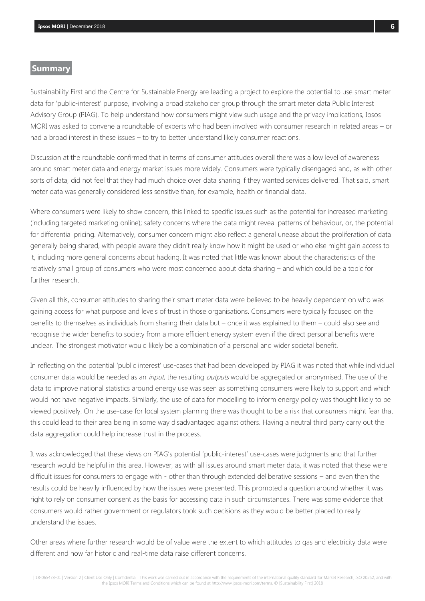### **Summary**

Sustainability First and the Centre for Sustainable Energy are leading a project to explore the potential to use smart meter data for 'public-interest' purpose, involving a broad stakeholder group through the smart meter data Public Interest Advisory Group (PIAG). To help understand how consumers might view such usage and the privacy implications, Ipsos MORI was asked to convene a roundtable of experts who had been involved with consumer research in related areas – or had a broad interest in these issues – to try to better understand likely consumer reactions.

Discussion at the roundtable confirmed that in terms of consumer attitudes overall there was a low level of awareness around smart meter data and energy market issues more widely. Consumers were typically disengaged and, as with other sorts of data, did not feel that they had much choice over data sharing if they wanted services delivered. That said, smart meter data was generally considered less sensitive than, for example, health or financial data.

Where consumers were likely to show concern, this linked to specific issues such as the potential for increased marketing (including targeted marketing online); safety concerns where the data might reveal patterns of behaviour, or, the potential for differential pricing. Alternatively, consumer concern might also reflect a general unease about the proliferation of data generally being shared, with people aware they didn't really know how it might be used or who else might gain access to it, including more general concerns about hacking. It was noted that little was known about the characteristics of the relatively small group of consumers who were most concerned about data sharing – and which could be a topic for further research.

Given all this, consumer attitudes to sharing their smart meter data were believed to be heavily dependent on who was gaining access for what purpose and levels of trust in those organisations. Consumers were typically focused on the benefits to themselves as individuals from sharing their data but – once it was explained to them – could also see and recognise the wider benefits to society from a more efficient energy system even if the direct personal benefits were unclear. The strongest motivator would likely be a combination of a personal and wider societal benefit.

In reflecting on the potential 'public interest' use-cases that had been developed by PIAG it was noted that while individual consumer data would be needed as an *input*, the resulting *outputs* would be aggregated or anonymised. The use of the data to improve national statistics around energy use was seen as something consumers were likely to support and which would not have negative impacts. Similarly, the use of data for modelling to inform energy policy was thought likely to be viewed positively. On the use-case for local system planning there was thought to be a risk that consumers might fear that this could lead to their area being in some way disadvantaged against others. Having a neutral third party carry out the data aggregation could help increase trust in the process.

It was acknowledged that these views on PIAG's potential 'public-interest' use-cases were judgments and that further research would be helpful in this area. However, as with all issues around smart meter data, it was noted that these were difficult issues for consumers to engage with - other than through extended deliberative sessions – and even then the results could be heavily influenced by how the issues were presented. This prompted a question around whether it was right to rely on consumer consent as the basis for accessing data in such circumstances. There was some evidence that consumers would rather government or regulators took such decisions as they would be better placed to really understand the issues.

Other areas where further research would be of value were the extent to which attitudes to gas and electricity data were different and how far historic and real-time data raise different concerns.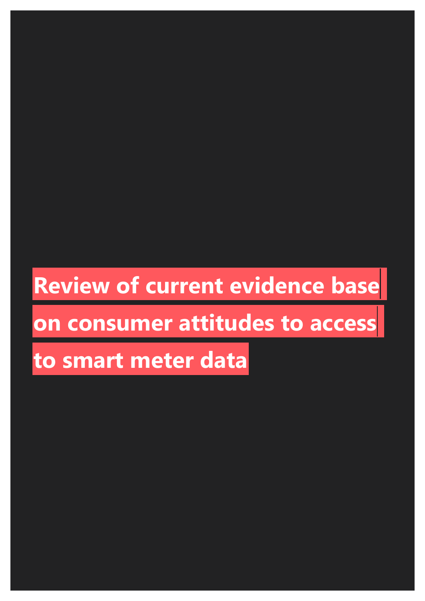## **Review of current evidence base**

## **on consumer attitudes to access**

## **to smart meter data**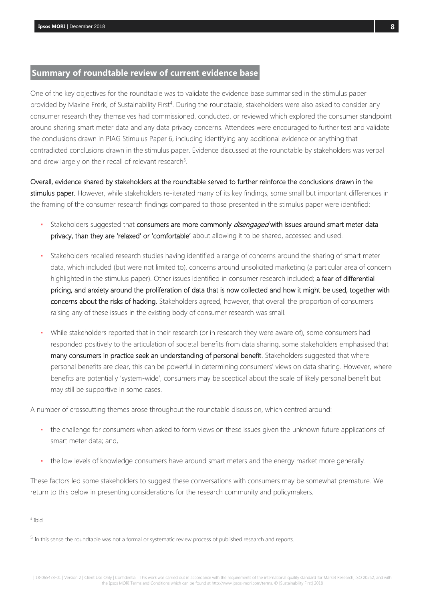## <span id="page-7-0"></span>**Summary of roundtable review of current evidence base**

One of the key objectives for the roundtable was to validate the evidence base summarised in the stimulus paper provided by Maxine Frerk, of Sustainability First<sup>4</sup>. During the roundtable, stakeholders were also asked to consider any consumer research they themselves had commissioned, conducted, or reviewed which explored the consumer standpoint around sharing smart meter data and any data privacy concerns. Attendees were encouraged to further test and validate the conclusions drawn in PIAG Stimulus Paper 6, including identifying any additional evidence or anything that contradicted conclusions drawn in the stimulus paper. Evidence discussed at the roundtable by stakeholders was verbal and drew largely on their recall of relevant research<sup>5</sup>.

Overall, evidence shared by stakeholders at the roundtable served to further reinforce the conclusions drawn in the stimulus paper. However, while stakeholders re-iterated many of its key findings, some small but important differences in the framing of the consumer research findings compared to those presented in the stimulus paper were identified:

- Stakeholders suggested that consumers are more commonly *disengaged* with issues around smart meter data privacy, than they are 'relaxed' or 'comfortable' about allowing it to be shared, accessed and used.
- Stakeholders recalled research studies having identified a range of concerns around the sharing of smart meter data, which included (but were not limited to), concerns around unsolicited marketing (a particular area of concern highlighted in the stimulus paper). Other issues identified in consumer research included; a fear of differential pricing, and anxiety around the proliferation of data that is now collected and how it might be used, together with concerns about the risks of hacking. Stakeholders agreed, however, that overall the proportion of consumers raising any of these issues in the existing body of consumer research was small.
- While stakeholders reported that in their research (or in research they were aware of), some consumers had responded positively to the articulation of societal benefits from data sharing, some stakeholders emphasised that many consumers in practice seek an understanding of personal benefit. Stakeholders suggested that where personal benefits are clear, this can be powerful in determining consumers' views on data sharing. However, where benefits are potentially 'system-wide', consumers may be sceptical about the scale of likely personal benefit but may still be supportive in some cases.

A number of crosscutting themes arose throughout the roundtable discussion, which centred around:

- the challenge for consumers when asked to form views on these issues given the unknown future applications of smart meter data; and,
- the low levels of knowledge consumers have around smart meters and the energy market more generally.

These factors led some stakeholders to suggest these conversations with consumers may be somewhat premature. We return to this below in presenting considerations for the research community and policymakers.

 $\overline{a}$ 4 Ibid

 $^5$  In this sense the roundtable was not a formal or systematic review process of published research and reports.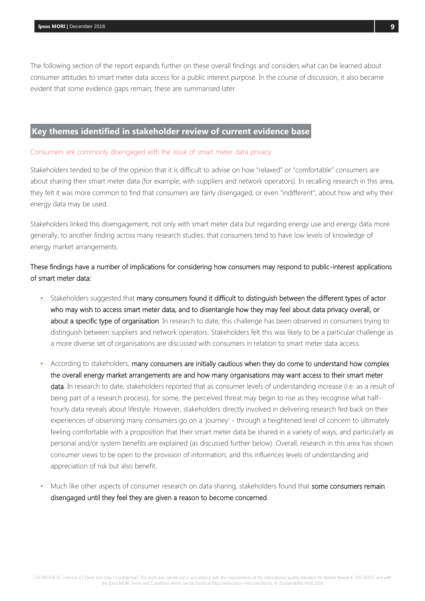The following section of the report expands further on these overall findings and considers what can be learned about consumer attitudes to smart meter data access for a public interest purpose. In the course of discussion, it also became evident that some evidence gaps remain; these are summarised later.

## <span id="page-8-0"></span>**Key themes identified in stakeholder review of current evidence base**

#### Consumers are commonly disengaged with the issue of smart meter data privacy

Stakeholders tended to be of the opinion that it is difficult to advise on how "relaxed" or "comfortable" consumers are about sharing their smart meter data (for example, with suppliers and network operators). In recalling research in this area, they felt it was more common to find that consumers are fairly disengaged, or even "indifferent", about how and why their energy data may be used.

Stakeholders linked this disengagement, not only with smart meter data but regarding energy use and energy data more generally, to another finding across many research studies; that consumers tend to have low levels of knowledge of energy market arrangements.

## These findings have a number of implications for considering how consumers may respond to public-interest applications of smart meter data:

- Stakeholders suggested that many consumers found it difficult to distinguish between the different types of actor who may wish to access smart meter data, and to disentangle how they may feel about data privacy overall, or about a specific type of organisation. In research to date, this challenge has been observed in consumers trying to distinguish between suppliers and network operators. Stakeholders felt this was likely to be a particular challenge as a more diverse set of organisations are discussed with consumers in relation to smart meter data access.
- According to stakeholders, many consumers are initially cautious when they do come to understand how complex the overall energy market arrangements are and how many organisations may want access to their smart meter data. In research to date, stakeholders reported that as consumer levels of understanding increase (i.e. as a result of being part of a research process), for some, the perceived threat may begin to rise as they recognise what halfhourly data reveals about lifestyle. However, stakeholders directly involved in delivering research fed back on their experiences of observing many consumers go on a 'journey' - through a heightened level of concern to ultimately feeling comfortable with a proposition that their smart meter data be shared in a variety of ways; and particularly as personal and/or system benefits are explained (as discussed further below). Overall, research in this area has shown consumer views to be open to the provision of information; and this influences levels of understanding and appreciation of risk but also benefit.
- Much like other aspects of consumer research on data sharing, stakeholders found that some consumers remain disengaged until they feel they are given a reason to become concerned.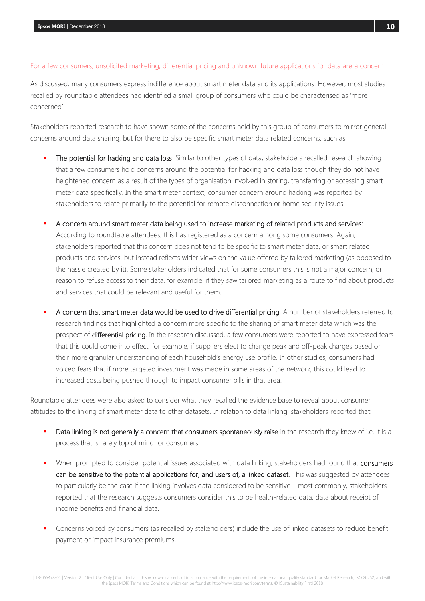### For a few consumers, unsolicited marketing, differential pricing and unknown future applications for data are a concern

As discussed, many consumers express indifference about smart meter data and its applications. However, most studies recalled by roundtable attendees had identified a small group of consumers who could be characterised as 'more concerned'.

Stakeholders reported research to have shown some of the concerns held by this group of consumers to mirror general concerns around data sharing, but for there to also be specific smart meter data related concerns, such as:

- The potential for hacking and data loss: Similar to other types of data, stakeholders recalled research showing that a few consumers hold concerns around the potential for hacking and data loss though they do not have heightened concern as a result of the types of organisation involved in storing, transferring or accessing smart meter data specifically. In the smart meter context, consumer concern around hacking was reported by stakeholders to relate primarily to the potential for remote disconnection or home security issues.
- A concern around smart meter data being used to increase marketing of related products and services: According to roundtable attendees, this has registered as a concern among some consumers. Again, stakeholders reported that this concern does not tend to be specific to smart meter data, or smart related products and services, but instead reflects wider views on the value offered by tailored marketing (as opposed to the hassle created by it). Some stakeholders indicated that for some consumers this is not a major concern, or reason to refuse access to their data, for example, if they saw tailored marketing as a route to find about products and services that could be relevant and useful for them.
- A concern that smart meter data would be used to drive differential pricing: A number of stakeholders referred to research findings that highlighted a concern more specific to the sharing of smart meter data which was the prospect of differential pricing. In the research discussed, a few consumers were reported to have expressed fears that this could come into effect, for example, if suppliers elect to change peak and off-peak charges based on their more granular understanding of each household's energy use profile. In other studies, consumers had voiced fears that if more targeted investment was made in some areas of the network, this could lead to increased costs being pushed through to impact consumer bills in that area.

Roundtable attendees were also asked to consider what they recalled the evidence base to reveal about consumer attitudes to the linking of smart meter data to other datasets. In relation to data linking, stakeholders reported that:

- Data linking is not generally a concern that consumers spontaneously raise in the research they knew of i.e. it is a process that is rarely top of mind for consumers.
- When prompted to consider potential issues associated with data linking, stakeholders had found that consumers can be sensitive to the potential applications for, and users of, a linked dataset. This was suggested by attendees to particularly be the case if the linking involves data considered to be sensitive – most commonly, stakeholders reported that the research suggests consumers consider this to be health-related data, data about receipt of income benefits and financial data.
- Concerns voiced by consumers (as recalled by stakeholders) include the use of linked datasets to reduce benefit payment or impact insurance premiums.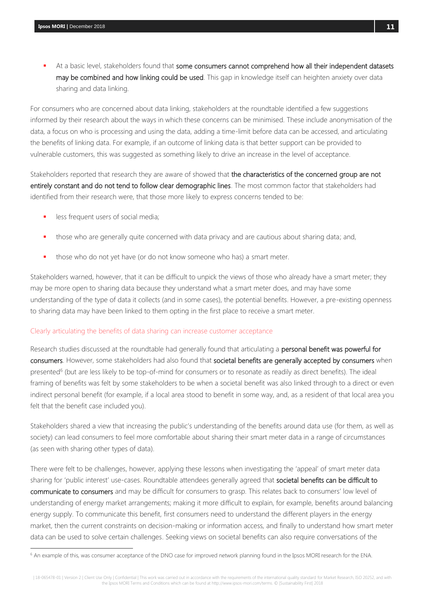At a basic level, stakeholders found that some consumers cannot comprehend how all their independent datasets may be combined and how linking could be used. This gap in knowledge itself can heighten anxiety over data sharing and data linking.

For consumers who are concerned about data linking, stakeholders at the roundtable identified a few suggestions informed by their research about the ways in which these concerns can be minimised. These include anonymisation of the data, a focus on who is processing and using the data, adding a time-limit before data can be accessed, and articulating the benefits of linking data. For example, if an outcome of linking data is that better support can be provided to vulnerable customers, this was suggested as something likely to drive an increase in the level of acceptance.

Stakeholders reported that research they are aware of showed that the characteristics of the concerned group are not entirely constant and do not tend to follow clear demographic lines. The most common factor that stakeholders had identified from their research were, that those more likely to express concerns tended to be:

less frequent users of social media;

 $\overline{a}$ 

- those who are generally quite concerned with data privacy and are cautious about sharing data; and,
- those who do not yet have (or do not know someone who has) a smart meter.

Stakeholders warned, however, that it can be difficult to unpick the views of those who already have a smart meter; they may be more open to sharing data because they understand what a smart meter does, and may have some understanding of the type of data it collects (and in some cases), the potential benefits. However, a pre-existing openness to sharing data may have been linked to them opting in the first place to receive a smart meter.

### Clearly articulating the benefits of data sharing can increase customer acceptance

Research studies discussed at the roundtable had generally found that articulating a personal benefit was powerful for consumers. However, some stakeholders had also found that societal benefits are generally accepted by consumers when presented<sup>6</sup> (but are less likely to be top-of-mind for consumers or to resonate as readily as direct benefits). The ideal framing of benefits was felt by some stakeholders to be when a societal benefit was also linked through to a direct or even indirect personal benefit (for example, if a local area stood to benefit in some way, and, as a resident of that local area you felt that the benefit case included you).

Stakeholders shared a view that increasing the public's understanding of the benefits around data use (for them, as well as society) can lead consumers to feel more comfortable about sharing their smart meter data in a range of circumstances (as seen with sharing other types of data).

There were felt to be challenges, however, applying these lessons when investigating the 'appeal' of smart meter data sharing for 'public interest' use-cases. Roundtable attendees generally agreed that societal benefits can be difficult to communicate to consumers and may be difficult for consumers to grasp. This relates back to consumers' low level of understanding of energy market arrangements; making it more difficult to explain, for example, benefits around balancing energy supply. To communicate this benefit, first consumers need to understand the different players in the energy market, then the current constraints on decision-making or information access, and finally to understand how smart meter data can be used to solve certain challenges. Seeking views on societal benefits can also require conversations of the

<sup>&</sup>lt;sup>6</sup> An example of this, was consumer acceptance of the DNO case for improved network planning found in the Ipsos MORI research for the ENA.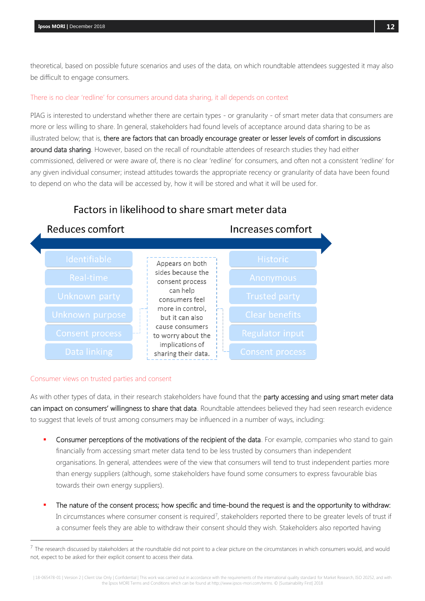theoretical, based on possible future scenarios and uses of the data, on which roundtable attendees suggested it may also be difficult to engage consumers.

### There is no clear 'redline' for consumers around data sharing, it all depends on context

PIAG is interested to understand whether there are certain types - or granularity - of smart meter data that consumers are more or less willing to share. In general, stakeholders had found levels of acceptance around data sharing to be as illustrated below; that is, there are factors that can broadly encourage greater or lesser levels of comfort in discussions around data sharing. However, based on the recall of roundtable attendees of research studies they had either commissioned, delivered or were aware of, there is no clear 'redline' for consumers, and often not a consistent 'redline' for any given individual consumer; instead attitudes towards the appropriate recency or granularity of data have been found to depend on who the data will be accessed by, how it will be stored and what it will be used for.

## Factors in likelihood to share smart meter data Reduces comfort Increases comfort Appears on both sides because the consent process can help consumers feel more in control, but it can also cause consumers to worry about the implications of sharing their data.

### Consumer views on trusted parties and consent

l

As with other types of data, in their research stakeholders have found that the party accessing and using smart meter data can impact on consumers' willingness to share that data. Roundtable attendees believed they had seen research evidence to suggest that levels of trust among consumers may be influenced in a number of ways, including:

- Consumer perceptions of the motivations of the recipient of the data. For example, companies who stand to gain financially from accessing smart meter data tend to be less trusted by consumers than independent organisations. In general, attendees were of the view that consumers will tend to trust independent parties more than energy suppliers (although, some stakeholders have found some consumers to express favourable bias towards their own energy suppliers).
- The nature of the consent process; how specific and time-bound the request is and the opportunity to withdraw: In circumstances where consumer consent is required<sup>7</sup>, stakeholders reported there to be greater levels of trust if a consumer feels they are able to withdraw their consent should they wish. Stakeholders also reported having

| 18-065478-01 | Version 2 | Client Use Only | Confidential | This work was carried out in accordance with the requirements of the international quality standard for Market Research, ISO 20252, and with the Ipsos MORI Terms and Conditions which can be found at http://www.ipsos-mori.com/terms. © [Sustainability First] 2018

 $^7$  The research discussed by stakeholders at the roundtable did not point to a clear picture on the circumstances in which consumers would, and would not, expect to be asked for their explicit consent to access their data.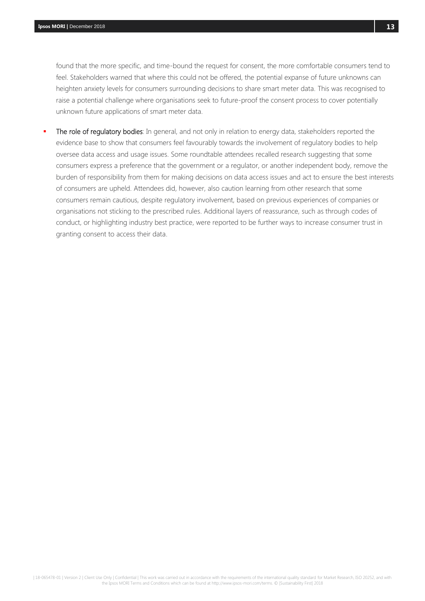found that the more specific, and time-bound the request for consent, the more comfortable consumers tend to feel. Stakeholders warned that where this could not be offered, the potential expanse of future unknowns can heighten anxiety levels for consumers surrounding decisions to share smart meter data. This was recognised to raise a potential challenge where organisations seek to future-proof the consent process to cover potentially unknown future applications of smart meter data.

The role of regulatory bodies: In general, and not only in relation to energy data, stakeholders reported the evidence base to show that consumers feel favourably towards the involvement of regulatory bodies to help oversee data access and usage issues. Some roundtable attendees recalled research suggesting that some consumers express a preference that the government or a regulator, or another independent body, remove the burden of responsibility from them for making decisions on data access issues and act to ensure the best interests of consumers are upheld. Attendees did, however, also caution learning from other research that some consumers remain cautious, despite regulatory involvement, based on previous experiences of companies or organisations not sticking to the prescribed rules. Additional layers of reassurance, such as through codes of conduct, or highlighting industry best practice, were reported to be further ways to increase consumer trust in granting consent to access their data.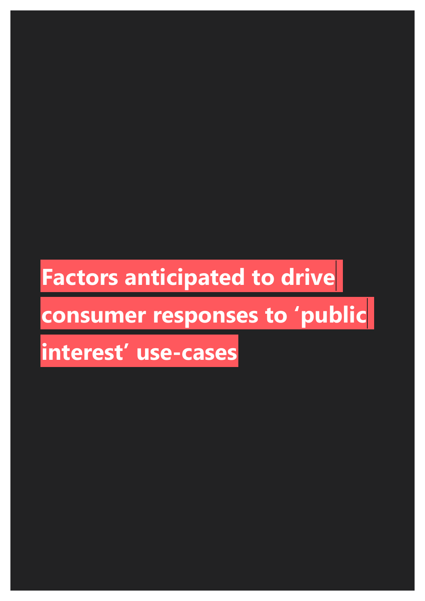## **Factors anticipated to drive**

# **consumer responses to 'public**

## **interest' use-cases**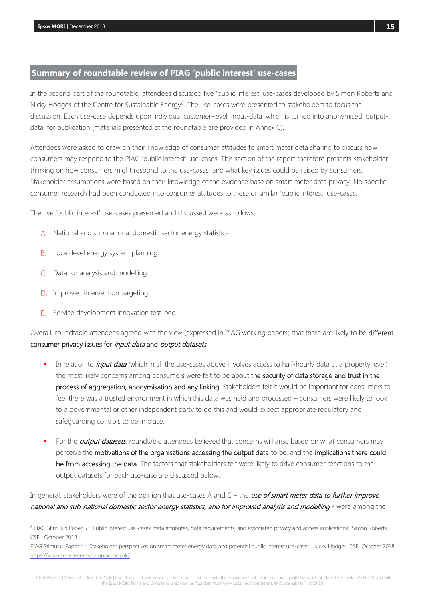## <span id="page-14-0"></span>**Summary of roundtable review of PIAG 'public interest' use-cases**

In the second part of the roundtable, attendees discussed five 'public interest' use-cases developed by Simon Roberts and Nicky Hodges of the Centre for Sustainable Energy<sup>8</sup>. The use-cases were presented to stakeholders to focus the discussion. Each use-case depends upon individual customer-level 'input-data' which is turned into anonymised 'outputdata' for publication (materials presented at the roundtable are provided in Annex C).

Attendees were asked to draw on their knowledge of consumer attitudes to smart meter data sharing to discuss how consumers may respond to the PIAG 'public interest' use-cases. This section of the report therefore presents stakeholder thinking on how consumers might respond to the use-cases, and what key issues could be raised by consumers. Stakeholder assumptions were based on their knowledge of the evidence base on smart meter data privacy. No specific consumer research had been conducted into consumer attitudes to these or similar 'public interest' use-cases.

The five 'public interest' use-cases presented and discussed were as follows:

- A. National and sub-national domestic sector energy statistics
- **B.** Local-level energy system planning
- C. Data for analysis and modelling
- D. Improved intervention targeting

 $\overline{a}$ 

E. Service development innovation test-bed

Overall, roundtable attendees agreed with the view (expressed in PIAG working papers) that there are likely to be different consumer privacy issues for *input data* and *output datasets*.

- In relation to *input data* (which in all the use-cases above involves access to half-hourly data at a property level) the most likely concerns among consumers were felt to be about the security of data storage and trust in the process of aggregation, anonymisation and any linking. Stakeholders felt it would be important for consumers to feel there was a trusted environment in which this data was held and processed – consumers were likely to look to a governmental or other independent party to do this and would expect appropriate regulatory and safeguarding controls to be in place.
- For the **output datasets**, roundtable attendees believed that concerns will arise based on what consumers may perceive the motivations of the organisations accessing the output data to be, and the implications there could be from accessing the data. The factors that stakeholders felt were likely to drive consumer reactions to the output datasets for each use-case are discussed below.

In general, stakeholders were of the opinion that use-cases A and  $C$  – the use of smart meter data to further improve national and sub-national domestic sector energy statistics, and for improved analysis and modelling - were among the

| 18-065478-01 | Version 2 | Client Use Only | Confidential | This work was carried out in accordance with the requirements of the international quality standard for Market Research, ISO 20252, and with the Ipsos MORI Terms and Conditions which can be found at http://www.ipsos-mori.com/terms. © [Sustainability First] 2018

<sup>8</sup> PIAG Stimulus Paper 5 : 'Public interest use-cases: data attributes, data requirements, and associated privacy and access implications'. Simon Roberts. CSE . October 2018

PIAG Stimulus Paper 4 : 'Stakeholder perspectives on smart meter energy data and potential public interest use-cases'. Nicky Hodges. CSE. October 2018 <https://www.smartenergydatapiag.org.uk/>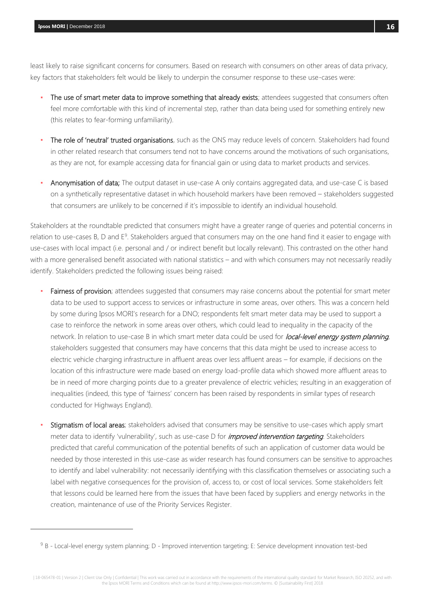l

least likely to raise significant concerns for consumers. Based on research with consumers on other areas of data privacy, key factors that stakeholders felt would be likely to underpin the consumer response to these use-cases were:

- The use of smart meter data to improve something that already exists; attendees suggested that consumers often feel more comfortable with this kind of incremental step, rather than data being used for something entirely new (this relates to fear-forming unfamiliarity).
- The role of 'neutral' trusted organisations, such as the ONS may reduce levels of concern. Stakeholders had found in other related research that consumers tend not to have concerns around the motivations of such organisations, as they are not, for example accessing data for financial gain or using data to market products and services.
- Anonymisation of data; The output dataset in use-case A only contains aggregated data, and use-case C is based on a synthetically representative dataset in which household markers have been removed – stakeholders suggested that consumers are unlikely to be concerned if it's impossible to identify an individual household.

Stakeholders at the roundtable predicted that consumers might have a greater range of queries and potential concerns in relation to use-cases B, D and E<sup>9</sup>. Stakeholders argued that consumers may on the one hand find it easier to engage with use-cases with local impact (i.e. personal and / or indirect benefit but locally relevant). This contrasted on the other hand with a more generalised benefit associated with national statistics – and with which consumers may not necessarily readily identify. Stakeholders predicted the following issues being raised:

- Fairness of provision; attendees suggested that consumers may raise concerns about the potential for smart meter data to be used to support access to services or infrastructure in some areas, over others. This was a concern held by some during Ipsos MORI's research for a DNO; respondents felt smart meter data may be used to support a case to reinforce the network in some areas over others, which could lead to inequality in the capacity of the network. In relation to use-case B in which smart meter data could be used for *local-level energy system planning*, stakeholders suggested that consumers may have concerns that this data might be used to increase access to electric vehicle charging infrastructure in affluent areas over less affluent areas – for example, if decisions on the location of this infrastructure were made based on energy load-profile data which showed more affluent areas to be in need of more charging points due to a greater prevalence of electric vehicles; resulting in an exaggeration of inequalities (indeed, this type of 'fairness' concern has been raised by respondents in similar types of research conducted for Highways England).
- Stigmatism of local areas; stakeholders advised that consumers may be sensitive to use-cases which apply smart meter data to identify 'vulnerability', such as use-case D for *improved intervention targeting*. Stakeholders predicted that careful communication of the potential benefits of such an application of customer data would be needed by those interested in this use-case as wider research has found consumers can be sensitive to approaches to identify and label vulnerability: not necessarily identifying with this classification themselves or associating such a label with negative consequences for the provision of, access to, or cost of local services. Some stakeholders felt that lessons could be learned here from the issues that have been faced by suppliers and energy networks in the creation, maintenance of use of the Priority Services Register.

<sup>&</sup>lt;sup>9</sup> B - Local-level energy system planning; D - Improved intervention targeting; E: Service development innovation test-bed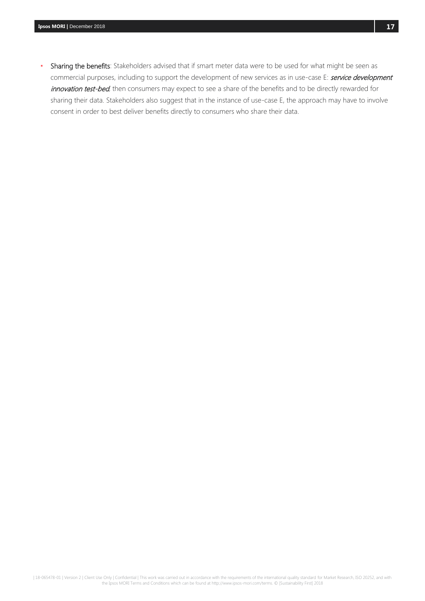Sharing the benefits: Stakeholders advised that if smart meter data were to be used for what might be seen as commercial purposes, including to support the development of new services as in use-case E: service development innovation test-bed, then consumers may expect to see a share of the benefits and to be directly rewarded for sharing their data. Stakeholders also suggest that in the instance of use-case E, the approach may have to involve consent in order to best deliver benefits directly to consumers who share their data.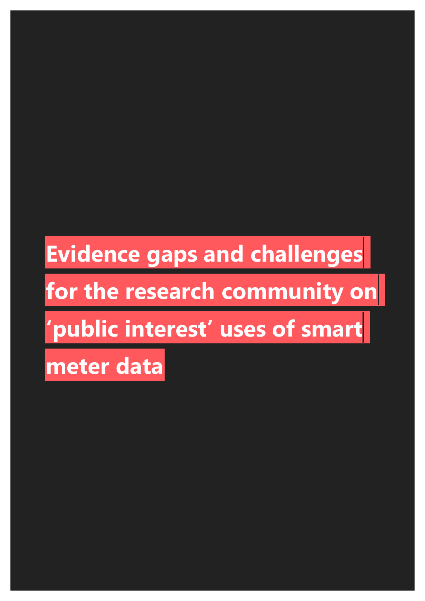## **Evidence gaps and challenges**

## **for the research community on**

## **'public interest' uses of smart**

**meter data**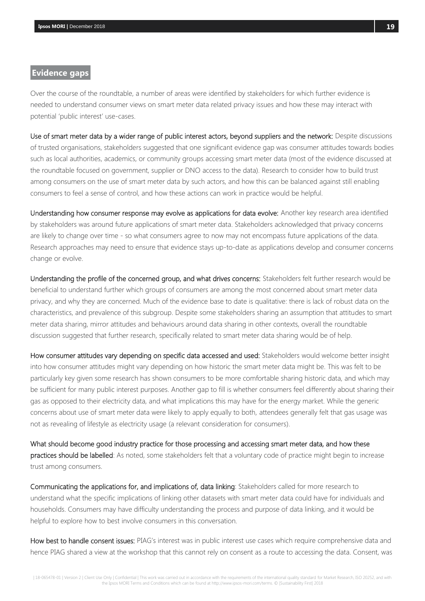### <span id="page-18-0"></span>**Evidence gaps**

Over the course of the roundtable, a number of areas were identified by stakeholders for which further evidence is needed to understand consumer views on smart meter data related privacy issues and how these may interact with potential 'public interest' use-cases.

Use of smart meter data by a wider range of public interest actors, beyond suppliers and the network: Despite discussions of trusted organisations, stakeholders suggested that one significant evidence gap was consumer attitudes towards bodies such as local authorities, academics, or community groups accessing smart meter data (most of the evidence discussed at the roundtable focused on government, supplier or DNO access to the data). Research to consider how to build trust among consumers on the use of smart meter data by such actors, and how this can be balanced against still enabling consumers to feel a sense of control, and how these actions can work in practice would be helpful.

Understanding how consumer response may evolve as applications for data evolve: Another key research area identified by stakeholders was around future applications of smart meter data. Stakeholders acknowledged that privacy concerns are likely to change over time - so what consumers agree to now may not encompass future applications of the data. Research approaches may need to ensure that evidence stays up-to-date as applications develop and consumer concerns change or evolve.

Understanding the profile of the concerned group, and what drives concerns: Stakeholders felt further research would be beneficial to understand further which groups of consumers are among the most concerned about smart meter data privacy, and why they are concerned. Much of the evidence base to date is qualitative: there is lack of robust data on the characteristics, and prevalence of this subgroup. Despite some stakeholders sharing an assumption that attitudes to smart meter data sharing, mirror attitudes and behaviours around data sharing in other contexts, overall the roundtable discussion suggested that further research, specifically related to smart meter data sharing would be of help.

How consumer attitudes vary depending on specific data accessed and used: Stakeholders would welcome better insight into how consumer attitudes might vary depending on how historic the smart meter data might be. This was felt to be particularly key given some research has shown consumers to be more comfortable sharing historic data, and which may be sufficient for many public interest purposes. Another gap to fill is whether consumers feel differently about sharing their gas as opposed to their electricity data, and what implications this may have for the energy market. While the generic concerns about use of smart meter data were likely to apply equally to both, attendees generally felt that gas usage was not as revealing of lifestyle as electricity usage (a relevant consideration for consumers).

What should become good industry practice for those processing and accessing smart meter data, and how these practices should be labelled: As noted, some stakeholders felt that a voluntary code of practice might begin to increase trust among consumers.

Communicating the applications for, and implications of, data linking: Stakeholders called for more research to understand what the specific implications of linking other datasets with smart meter data could have for individuals and households. Consumers may have difficulty understanding the process and purpose of data linking, and it would be helpful to explore how to best involve consumers in this conversation.

How best to handle consent issues: PIAG's interest was in public interest use cases which require comprehensive data and hence PIAG shared a view at the workshop that this cannot rely on consent as a route to accessing the data. Consent, was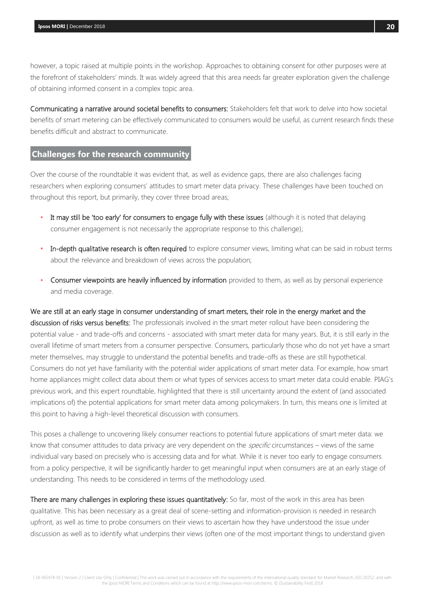however, a topic raised at multiple points in the workshop. Approaches to obtaining consent for other purposes were at the forefront of stakeholders' minds. It was widely agreed that this area needs far greater exploration given the challenge of obtaining informed consent in a complex topic area.

Communicating a narrative around societal benefits to consumers: Stakeholders felt that work to delve into how societal benefits of smart metering can be effectively communicated to consumers would be useful, as current research finds these benefits difficult and abstract to communicate.

## <span id="page-19-0"></span>**Challenges for the research community**

Over the course of the roundtable it was evident that, as well as evidence gaps, there are also challenges facing researchers when exploring consumers' attitudes to smart meter data privacy. These challenges have been touched on throughout this report, but primarily, they cover three broad areas;

- . It may still be 'too early' for consumers to engage fully with these issues (although it is noted that delaying consumer engagement is not necessarily the appropriate response to this challenge);
- In-depth qualitative research is often required to explore consumer views, limiting what can be said in robust terms about the relevance and breakdown of views across the population;
- **Consumer viewpoints are heavily influenced by information** provided to them, as well as by personal experience and media coverage.

We are still at an early stage in consumer understanding of smart meters, their role in the energy market and the discussion of risks versus benefits: The professionals involved in the smart meter rollout have been considering the potential value - and trade-offs and concerns - associated with smart meter data for many years. But, it is still early in the overall lifetime of smart meters from a consumer perspective. Consumers, particularly those who do not yet have a smart meter themselves, may struggle to understand the potential benefits and trade-offs as these are still hypothetical. Consumers do not yet have familiarity with the potential wider applications of smart meter data. For example, how smart home appliances might collect data about them or what types of services access to smart meter data could enable. PIAG's previous work, and this expert roundtable, highlighted that there is still uncertainty around the extent of (and associated implications of) the potential applications for smart meter data among policymakers. In turn, this means one is limited at this point to having a high-level theoretical discussion with consumers.

This poses a challenge to uncovering likely consumer reactions to potential future applications of smart meter data: we know that consumer attitudes to data privacy are very dependent on the *specific* circumstances – views of the same individual vary based on precisely who is accessing data and for what. While it is never too early to engage consumers from a policy perspective, it will be significantly harder to get meaningful input when consumers are at an early stage of understanding. This needs to be considered in terms of the methodology used.

There are many challenges in exploring these issues quantitatively: So far, most of the work in this area has been qualitative. This has been necessary as a great deal of scene-setting and information-provision is needed in research upfront, as well as time to probe consumers on their views to ascertain how they have understood the issue under discussion as well as to identify what underpins their views (often one of the most important things to understand given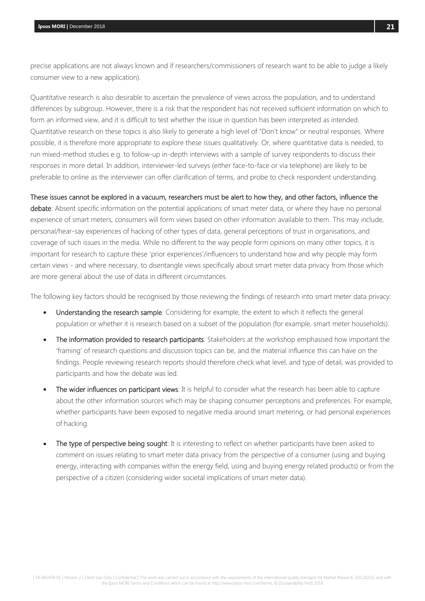precise applications are not always known and if researchers/commissioners of research want to be able to judge a likely consumer view to a new application).

Quantitative research is also desirable to ascertain the prevalence of views across the population, and to understand differences by subgroup. However, there is a risk that the respondent has not received sufficient information on which to form an informed view, and it is difficult to test whether the issue in question has been interpreted as intended. Quantitative research on these topics is also likely to generate a high level of "Don't know" or neutral responses. Where possible, it is therefore more appropriate to explore these issues qualitatively. Or, where quantitative data is needed, to run mixed-method studies e.g. to follow-up in-depth interviews with a sample of survey respondents to discuss their responses in more detail. In addition, interviewer-led surveys (either face-to-face or via telephone) are likely to be preferable to online as the interviewer can offer clarification of terms, and probe to check respondent understanding.

### These issues cannot be explored in a vacuum, researchers must be alert to how they, and other factors, influence the

debate: Absent specific information on the potential applications of smart meter data, or where they have no personal experience of smart meters, consumers will form views based on other information available to them. This may include, personal/hear-say experiences of hacking of other types of data, general perceptions of trust in organisations, and coverage of such issues in the media. While no different to the way people form opinions on many other topics, it is important for research to capture these 'prior experiences'/influencers to understand how and why people may form certain views - and where necessary, to disentangle views specifically about smart meter data privacy from those which are more general about the use of data in different circumstances.

The following key factors should be recognised by those reviewing the findings of research into smart meter data privacy:

- Understanding the research sample: Considering for example, the extent to which it reflects the general population or whether it is research based on a subset of the population (for example, smart meter households).
- The information provided to research participants: Stakeholders at the workshop emphasised how important the 'framing' of research questions and discussion topics can be, and the material influence this can have on the findings. People reviewing research reports should therefore check what level, and type of detail, was provided to participants and how the debate was led.
- The wider influences on participant views: It is helpful to consider what the research has been able to capture about the other information sources which may be shaping consumer perceptions and preferences. For example, whether participants have been exposed to negative media around smart metering, or had personal experiences of hacking.
- The type of perspective being sought: It is interesting to reflect on whether participants have been asked to comment on issues relating to smart meter data privacy from the perspective of a consumer (using and buying energy, interacting with companies within the energy field, using and buying energy related products) or from the perspective of a citizen (considering wider societal implications of smart meter data).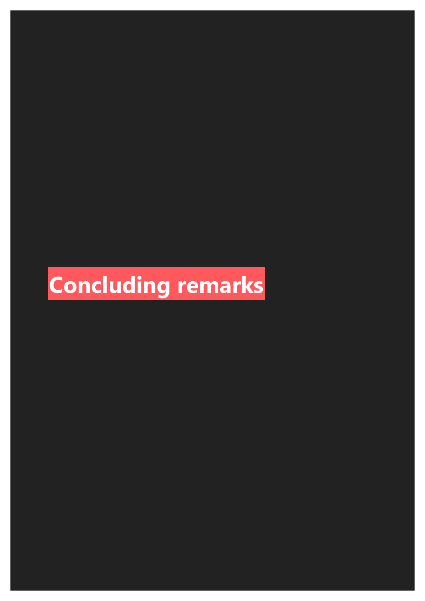# **Concluding remarks**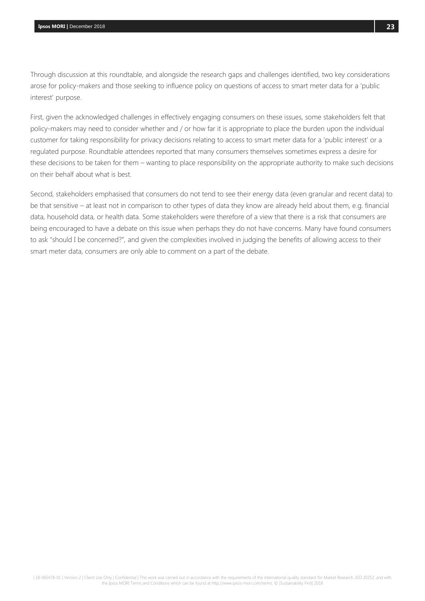Through discussion at this roundtable, and alongside the research gaps and challenges identified, two key considerations arose for policy-makers and those seeking to influence policy on questions of access to smart meter data for a 'public interest' purpose.

First, given the acknowledged challenges in effectively engaging consumers on these issues, some stakeholders felt that policy-makers may need to consider whether and / or how far it is appropriate to place the burden upon the individual customer for taking responsibility for privacy decisions relating to access to smart meter data for a 'public interest' or a regulated purpose. Roundtable attendees reported that many consumers themselves sometimes express a desire for these decisions to be taken for them – wanting to place responsibility on the appropriate authority to make such decisions on their behalf about what is best.

Second, stakeholders emphasised that consumers do not tend to see their energy data (even granular and recent data) to be that sensitive – at least not in comparison to other types of data they know are already held about them, e.g. financial data, household data, or health data. Some stakeholders were therefore of a view that there is a risk that consumers are being encouraged to have a debate on this issue when perhaps they do not have concerns. Many have found consumers to ask "should I be concerned?", and given the complexities involved in judging the benefits of allowing access to their smart meter data, consumers are only able to comment on a part of the debate.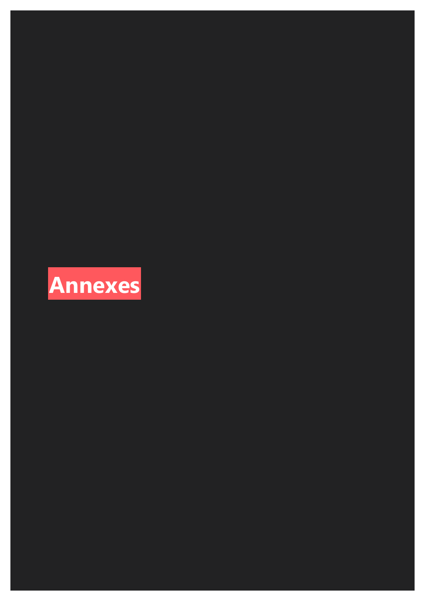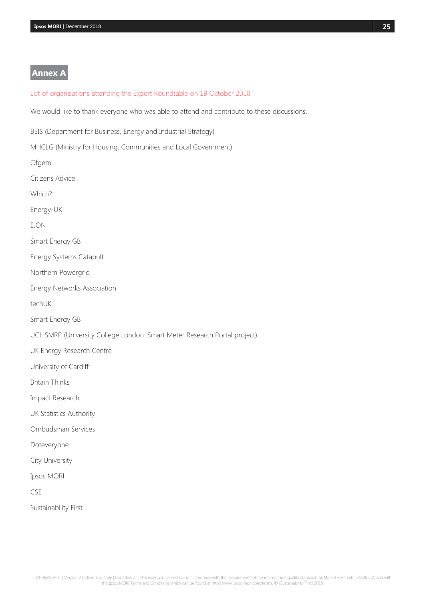## <span id="page-24-0"></span>**Annex A**

### <span id="page-24-1"></span>List of organisations attending the Expert Roundtable on 19 October 2018

We would like to thank everyone who was able to attend and contribute to these discussions.

BEIS (Department for Business, Energy and Industrial Strategy)

MHCLG (Ministry for Housing, Communities and Local Government)

Ofgem

Citizens Advice

Which?

Energy-UK

E.ON

Smart Energy GB

Energy Systems Catapult

Northern Powergrid

Energy Networks Association

techUK

Smart Energy GB

UCL SMRP (University College London. Smart Meter Research Portal project)

UK Energy Research Centre

University of Cardiff

Britain Thinks

Impact Research

UK Statistics Authority

Ombudsman Services

Doteveryone

City University

Ipsos MORI

CSE

Sustainability First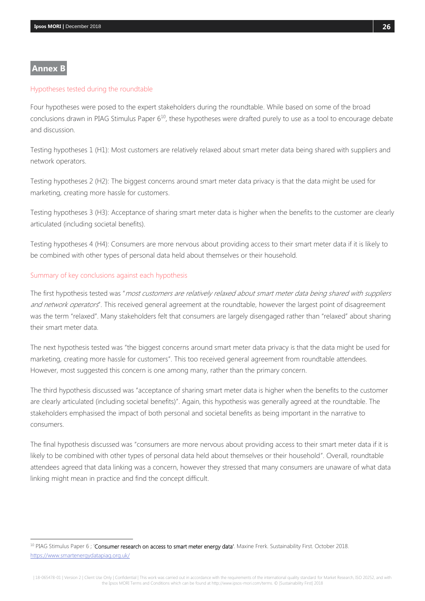## <span id="page-25-0"></span>**Annex B**

 $\overline{a}$ 

#### <span id="page-25-1"></span>Hypotheses tested during the roundtable

Four hypotheses were posed to the expert stakeholders during the roundtable. While based on some of the broad conclusions drawn in PIAG Stimulus Paper 6<sup>10</sup>, these hypotheses were drafted purely to use as a tool to encourage debate and discussion.

Testing hypotheses 1 (H1): Most customers are relatively relaxed about smart meter data being shared with suppliers and network operators.

Testing hypotheses 2 (H2): The biggest concerns around smart meter data privacy is that the data might be used for marketing, creating more hassle for customers.

Testing hypotheses 3 (H3): Acceptance of sharing smart meter data is higher when the benefits to the customer are clearly articulated (including societal benefits).

Testing hypotheses 4 (H4): Consumers are more nervous about providing access to their smart meter data if it is likely to be combined with other types of personal data held about themselves or their household.

#### <span id="page-25-2"></span>Summary of key conclusions against each hypothesis

The first hypothesis tested was "most customers are relatively relaxed about smart meter data being shared with suppliers and network operators". This received general agreement at the roundtable, however the largest point of disagreement was the term "relaxed". Many stakeholders felt that consumers are largely disengaged rather than "relaxed" about sharing their smart meter data.

The next hypothesis tested was "the biggest concerns around smart meter data privacy is that the data might be used for marketing, creating more hassle for customers". This too received general agreement from roundtable attendees. However, most suggested this concern is one among many, rather than the primary concern.

The third hypothesis discussed was "acceptance of sharing smart meter data is higher when the benefits to the customer are clearly articulated (including societal benefits)". Again, this hypothesis was generally agreed at the roundtable. The stakeholders emphasised the impact of both personal and societal benefits as being important in the narrative to consumers.

The final hypothesis discussed was "consumers are more nervous about providing access to their smart meter data if it is likely to be combined with other types of personal data held about themselves or their household". Overall, roundtable attendees agreed that data linking was a concern, however they stressed that many consumers are unaware of what data linking might mean in practice and find the concept difficult.

<sup>&</sup>lt;sup>10</sup> PIAG Stimulus Paper 6; 'Consumer research on access to smart meter energy data'. Maxine Frerk. Sustainability First. October 2018. <https://www.smartenergydatapiag.org.uk/>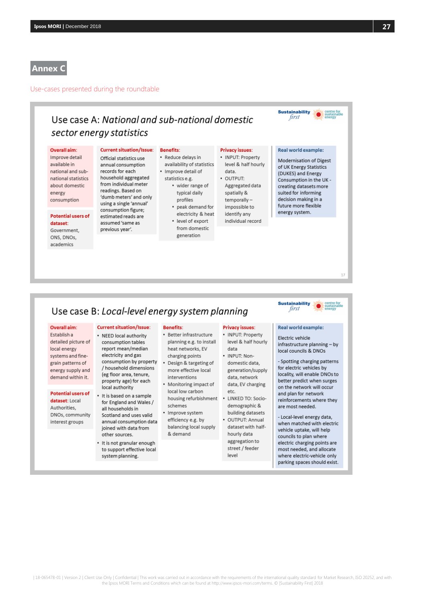### <span id="page-26-0"></span>**Annex C**

<span id="page-26-1"></span>Use-cases presented during the roundtable

## Use case A: National and sub-national domestic sector energy statistics

#### Overall aim:

Improve detail available in national and subnational statistics about domestic energy consumption

#### **Potential users of** dataset: Government,

ONS, DNOs, academics

Official statistics use annual consumption records for each household aggregated from individual meter readings. Based on 'dumb meters' and only using a single 'annual' consumption figure; estimated reads are assumed 'same as previous year'.

**Current situation/Issue:** 

### **Benefits:**

• Reduce delays in availability of statistics · Improve detail of

- statistics e.g. • wider range of
- typical daily profiles
	- peak demand for electricity & heat
	- · level of export from domestic generation

#### **Privacy issues:** · INPUT: Property

#### level & half hourly data. · OUTPUT: Aggregated data spatially & temporallyimpossible to

identify any

individual record

Modernisation of Digest of UK Energy Statistics (DUKES) and Energy Consumption in the UK creating datasets more suited for informing decision making in a future more flexible energy system.

**Sustainability** first

Real world example:

## Use case B: Local-level energy system planning

#### Overall aim:

Establish a detailed picture of local energy systems and finegrain patterns of energy supply and demand within it.

Potential users of

DNOs, community

interest groups

dataset: Local

Authorities.

#### • NEED local authority consumption tables report mean/median

**Current situation/Issue:** 

electricity and gas consumption by property / household dimensions (eg floor area, tenure, property age) for each local authority

- It is based on a sample for England and Wales / all households in Scotland and uses valid annual consumption data joined with data from other sources.
- It is not granular enough to support effective local system planning.

• Better infrastructure planning e.g. to install heat networks, EV charging points

**Renefits:** 

- Design & targeting of more effective local interventions
- Monitoring impact of local low carbon housing refurbishment schemes
- Improve system efficiency e.g. by balancing local supply & demand

#### **Privacy issues:**

## · INPUT: Property

level & half hourly data · INPUT: Nondomestic data,

generation/supply data, network data, EV charging etc  $\bullet$ 

- LINKED TO: Sociodemographic & building datasets · OUTPUT: Annual
- dataset with halfhourly data aggregation to street / feeder level

first

17

### Real world example:

**Sustainability** 

Electric vehicle infrastructure planning - by local councils & DNOs

- Spotting charging patterns for electric vehicles by locality, will enable DNOs to better predict when surges on the network will occur and plan for network reinforcements where they are most needed.

- Local-level energy data, when matched with electric vehicle uptake, will help councils to plan where electric charging points are most needed, and allocate where electric-vehicle only parking spaces should exist.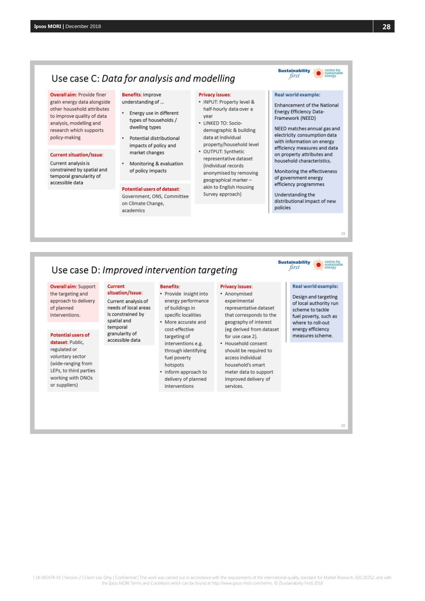## Use case C: Data for analysis and modelling

#### Overall aim: Provide finer

grain energy data alongside other household attributes to improve quality of data analysis, modelling and research which supports policy-making

#### **Current situation/Issue:**

Current analysis is constrained by spatial and temporal granularity of accessible data

#### **Benefits: Improve** understanding of ...

Energy use in different

- types of households / dwelling types Potential distributional
- impacts of policy and market changes Monitoring & evaluation

of policy impacts

#### **Potential users of dataset:**

Government, ONS, Committee on Climate Change, academics

#### **Privacy issues:**

- · INPUT: Property level & half-hourly data over a year
- · LINKED TO: Sociodemographic & building data at individual property/household level
- OUTPUT: Synthetic representative dataset (individual records anonymised by removing geographical markerakin to English Housing
	- Survey approach)
- on property attributes and household characteristics.

Monitoring the effectiveness of government energy efficiency programmes

**Sustainability** first

Real world example:

Energy Efficiency Data-

Framework (NEED)

Enhancement of the National

NEED matches annual gas and

electricity consumption data

efficiency measures and data

with information on energy

Understanding the distributional impact of new policies

## Use case D: Improved intervention targeting



#### **Potential users of**

dataset: Public, regulated or voluntary sector (wide-ranging from LEPs, to third parties working with DNOs or suppliers)

#### **Current** situation/Issue

Current analysis of needs of local areas is constrained by spatial and temporal granularity of accessible data

## **Benefits:**

- · Provide insight into energy performance of buildings in specific localities More accurate and
- cost-effective targeting of interventions e.g. through identifying fuel poverty hotspots Inform approach to
- delivery of planned interventions

#### **Privacy issues:** • Anonymised

- experimental representative dataset that corresponds to the geography of interest (eg derived from dataset for use case 2).
- · Household consent should be required to access individual household's smart meter data to support improved delivery of services.

#### **Sustainability** first

### Real world example:

Design and targeting of local authority run scheme to tackle fuel poverty, such as where to roll-out energy efficiency measures scheme.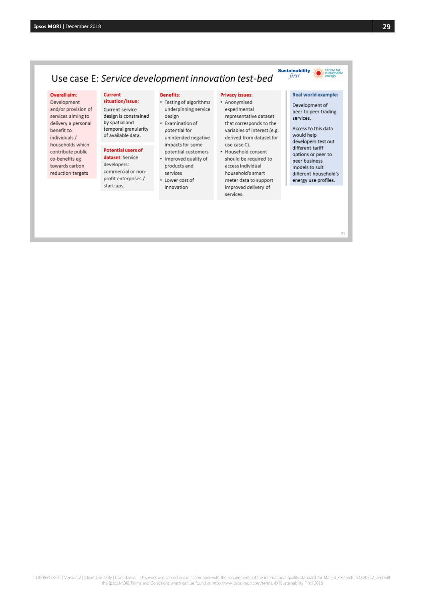#### Overall aim:

Development and/or provision of services aiming to delivery a personal benefit to individuals/ households which contribute public co-benefits eg towards carbon reduction targets

#### **Current** situation/Issue:

Current service design is constrained by spatial and temporal granularity of available data.

#### **Potential users of**

dataset: Service developers: commercial or nonprofit enterprises / start-ups.

#### **Benefits:**

- Testing of algorithms underpinning service design
- Examination of potential for unintended negative impacts for some potential customers
- Improved quality of products and services
- Lower cost of innovation

#### **Privacy issues:**

- Anonymised experimental representative dataset that corresponds to the variables of interest (e.g. derived from dataset for use case C).
- Household consent should be required to access individual household's smart meter data to support improved delivery of services.

## Real world example:

**Sustainability** 

first

Development of peer to peer trading services.

Access to this data would help developers test out different tariff options or peer to peer business models to suit different household's energy use profiles.